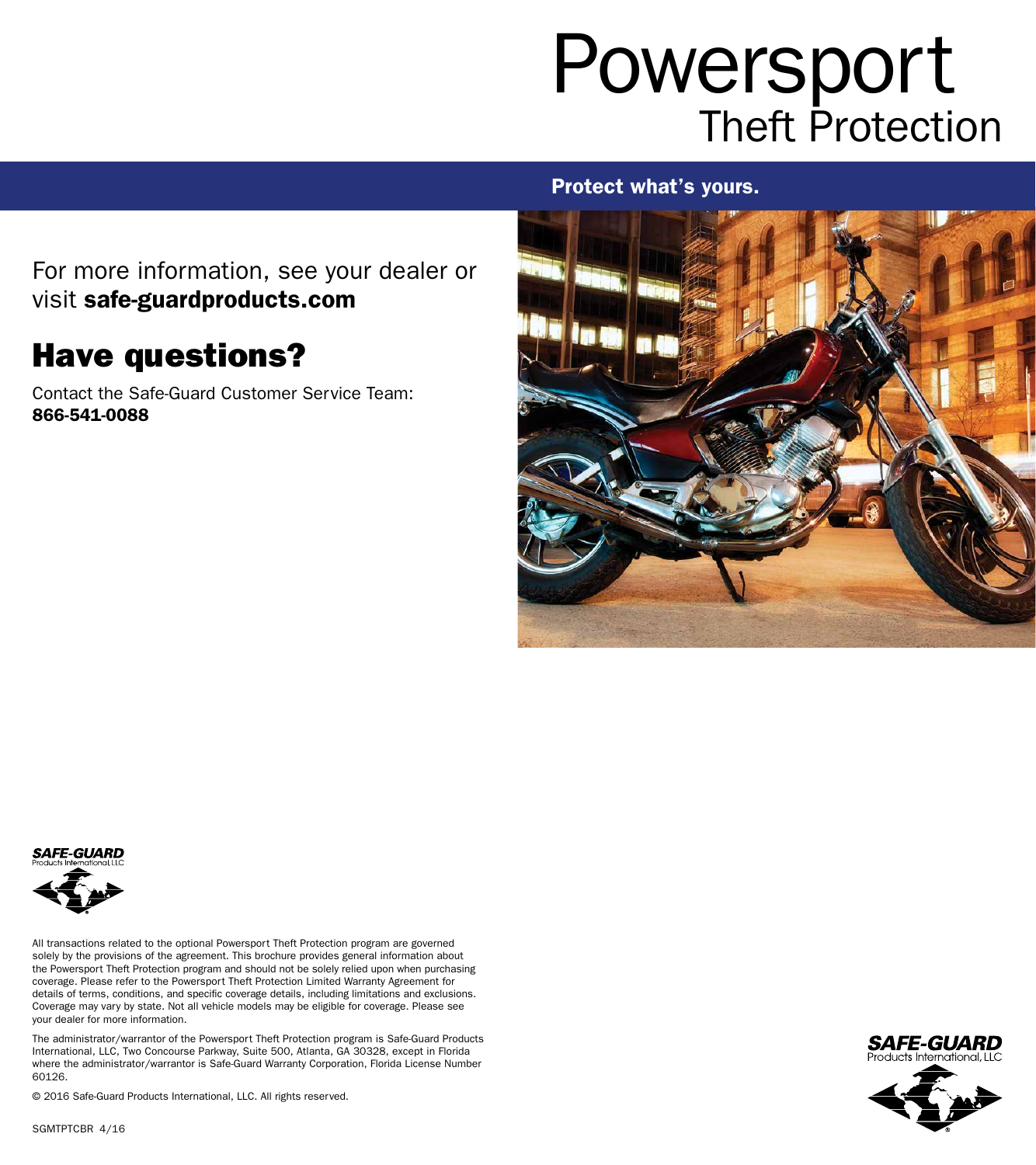# Powersport Theft Protection

### Protect what's yours.

For more information, see your dealer or visit safe-guardproducts.com

### Have questions?

Contact the Safe-Guard Customer Service Team: 866-541-0088





All transactions related to the optional Powersport Theft Protection program are governed solely by the provisions of the agreement. This brochure provides general information about the Powersport Theft Protection program and should not be solely relied upon when purchasing coverage. Please refer to the Powersport Theft Protection Limited Warranty Agreement for details of terms, conditions, and specific coverage details, including limitations and exclusions. Coverage may vary by state. Not all vehicle models may be eligible for coverage. Please see your dealer for more information.

The administrator/warrantor of the Powersport Theft Protection program is Safe-Guard Products International, LLC, Two Concourse Parkway, Suite 500, Atlanta, GA 30328, except in Florida where the administrator/warrantor is Safe-Guard Warranty Corporation, Florida License Number 60126.

© 2016 Safe-Guard Products International, LLC. All rights reserved.